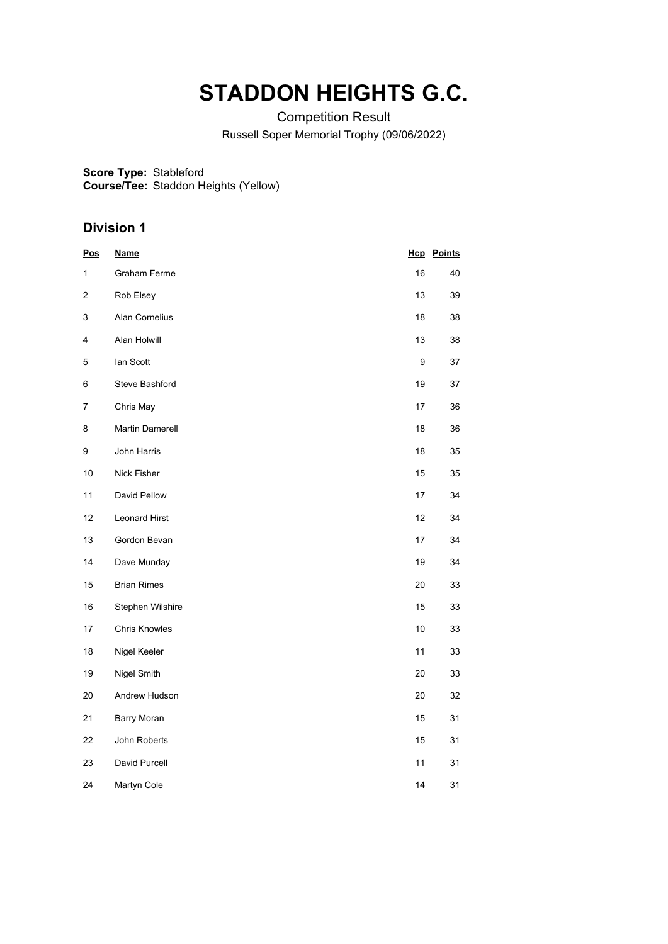# **STADDON HEIGHTS G.C.**

Competition Result

Russell Soper Memorial Trophy (09/06/2022)

**Score Type:** Stableford

**Course/Tee:** Staddon Heights (Yellow)

| <u>Pos</u>              | <b>Name</b>        |      | <b>Hcp</b> Points |
|-------------------------|--------------------|------|-------------------|
| 1                       | Graham Ferme       | 16   | 40                |
| $\overline{\mathbf{c}}$ | Rob Elsey          | 13   | 39                |
| 3                       | Alan Cornelius     | 18   | 38                |
| 4                       | Alan Holwill       | 13   | 38                |
| 5                       | lan Scott          | 9    | 37                |
| 6                       | Steve Bashford     | 19   | 37                |
| 7                       | Chris May          | 17   | 36                |
| 8                       | Martin Damerell    | 18   | 36                |
| 9                       | John Harris        | 18   | 35                |
| 10                      | Nick Fisher        | 15   | 35                |
| 11                      | David Pellow       | 17   | 34                |
| 12                      | Leonard Hirst      | 12   | 34                |
| 13                      | Gordon Bevan       | 17   | 34                |
| 14                      | Dave Munday        | 19   | 34                |
| 15                      | <b>Brian Rimes</b> | 20   | 33                |
| 16                      | Stephen Wilshire   | 15   | 33                |
| 17                      | Chris Knowles      | $10$ | 33                |
| 18                      | Nigel Keeler       | 11   | 33                |
| 19                      | Nigel Smith        | 20   | 33                |
| 20                      | Andrew Hudson      | 20   | 32                |
| 21                      | <b>Barry Moran</b> | 15   | 31                |
| 22                      | John Roberts       | 15   | 31                |
| 23                      | David Purcell      | 11   | 31                |
| 24                      | Martyn Cole        | 14   | 31                |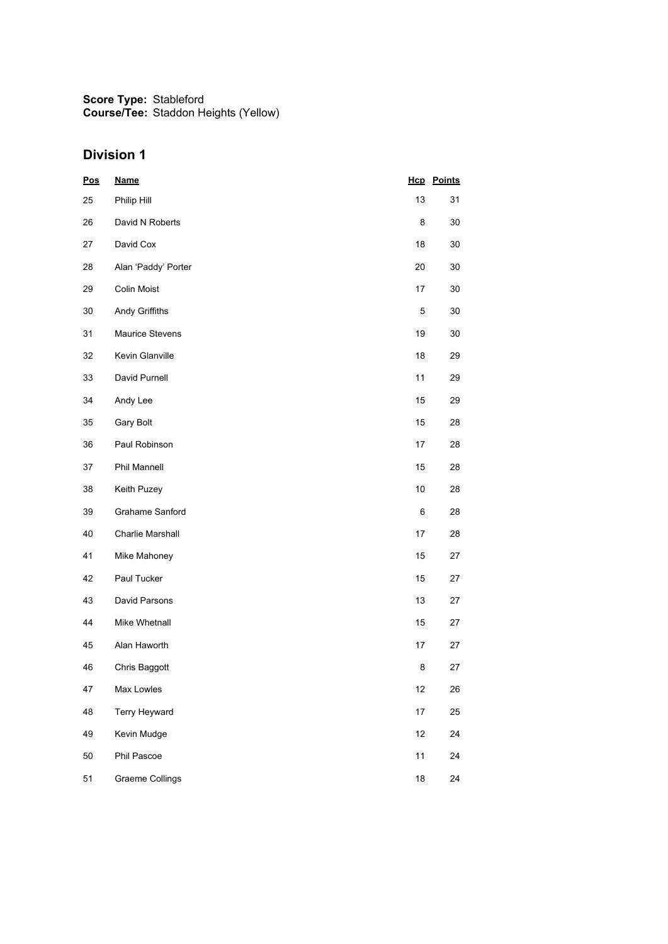| <b>Pos</b> | <b>Name</b>            |             | <b>Hcp</b> Points |
|------------|------------------------|-------------|-------------------|
| 25         | Philip Hill            | 13          | 31                |
| 26         | David N Roberts        | 8           | 30                |
| 27         | David Cox              | 18          | 30                |
| 28         | Alan 'Paddy' Porter    | 20          | 30                |
| 29         | <b>Colin Moist</b>     | 17          | 30                |
| 30         | Andy Griffiths         | $\mathbf 5$ | 30                |
| 31         | <b>Maurice Stevens</b> | 19          | 30                |
| 32         | Kevin Glanville        | 18          | 29                |
| 33         | David Purnell          | 11          | 29                |
| 34         | Andy Lee               | 15          | 29                |
| 35         | Gary Bolt              | 15          | 28                |
| 36         | Paul Robinson          | 17          | 28                |
| 37         | Phil Mannell           | 15          | 28                |
| 38         | Keith Puzey            | 10          | 28                |
| 39         | Grahame Sanford        | 6           | 28                |
| 40         | Charlie Marshall       | 17          | 28                |
| 41         | Mike Mahoney           | 15          | 27                |
| 42         | Paul Tucker            | 15          | 27                |
| 43         | David Parsons          | 13          | 27                |
| 44         | Mike Whetnall          | 15          | 27                |
| 45         | Alan Haworth           | 17          | 27                |
| 46         | Chris Baggott          | 8           | 27                |
| 47         | Max Lowles             | 12          | 26                |
| 48         | Terry Heyward          | 17          | 25                |
| 49         | Kevin Mudge            | 12          | 24                |
| 50         | Phil Pascoe            | 11          | 24                |
| 51         | <b>Graeme Collings</b> | 18          | 24                |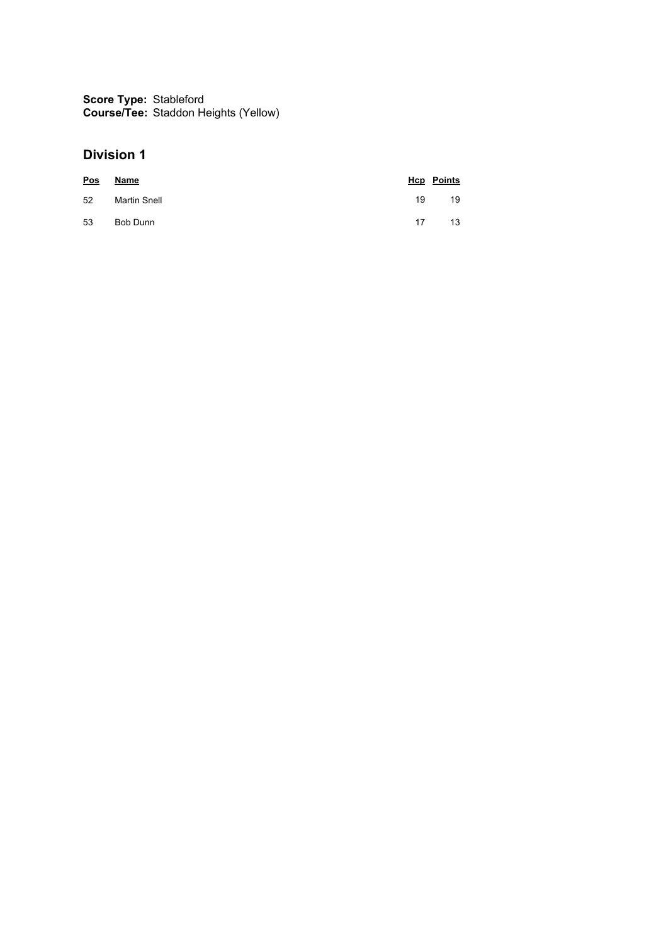| Pos | Name         |    | <b>Hcp</b> Points |
|-----|--------------|----|-------------------|
| 52  | Martin Snell | 19 | 19                |
| 53  | Bob Dunn     | 17 | 13                |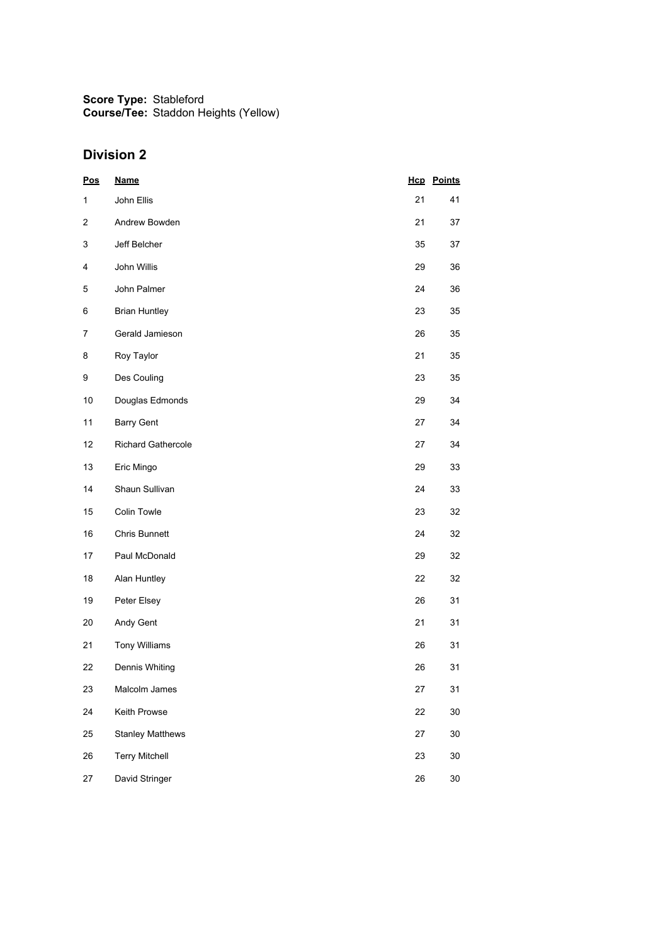| Pos          | <b>Name</b>             |    | <b>Hcp</b> Points |
|--------------|-------------------------|----|-------------------|
| $\mathbf{1}$ | John Ellis              | 21 | 41                |
| 2            | Andrew Bowden           | 21 | 37                |
| 3            | Jeff Belcher            | 35 | 37                |
| 4            | John Willis             | 29 | 36                |
| 5            | John Palmer             | 24 | 36                |
| 6            | <b>Brian Huntley</b>    | 23 | 35                |
| 7            | Gerald Jamieson         | 26 | 35                |
| 8            | Roy Taylor              | 21 | 35                |
| 9            | Des Couling             | 23 | 35                |
| 10           | Douglas Edmonds         | 29 | 34                |
| 11           | <b>Barry Gent</b>       | 27 | 34                |
| 12           | Richard Gathercole      | 27 | 34                |
| 13           | Eric Mingo              | 29 | 33                |
| 14           | Shaun Sullivan          | 24 | 33                |
| 15           | Colin Towle             | 23 | 32                |
| 16           | Chris Bunnett           | 24 | 32                |
| 17           | Paul McDonald           | 29 | 32                |
| 18           | Alan Huntley            | 22 | 32                |
| 19           | Peter Elsey             | 26 | 31                |
| 20           | Andy Gent               | 21 | 31                |
| 21           | Tony Williams           | 26 | 31                |
| 22           | Dennis Whiting          | 26 | 31                |
| 23           | Malcolm James           | 27 | 31                |
| 24           | Keith Prowse            | 22 | $30\,$            |
| 25           | <b>Stanley Matthews</b> | 27 | $30\,$            |
| 26           | <b>Terry Mitchell</b>   | 23 | $30\,$            |
| 27           | David Stringer          | 26 | $30\,$            |